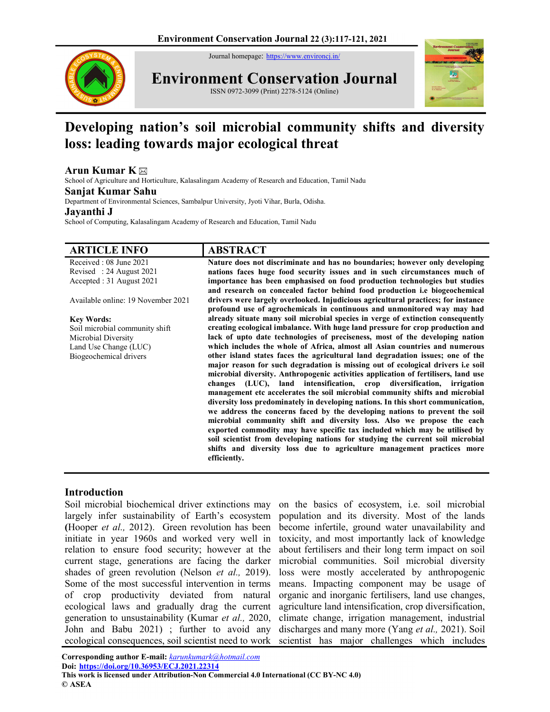Journal homepage: https://www.environcj.in/



Environment Conservation Journal

ISSN 0972-3099 (Print) 2278-5124 (Online)



# Developing nation's soil microbial community shifts and diversity loss: leading towards major ecological threat

## Arun Kumar K $\boxtimes$

School of Agriculture and Horticulture, Kalasalingam Academy of Research and Education, Tamil Nadu

#### Sanjat Kumar Sahu

Department of Environmental Sciences, Sambalpur University, Jyoti Vihar, Burla, Odisha.

#### Jayanthi J

School of Computing, Kalasalingam Academy of Research and Education, Tamil Nadu

| <b>ARTICLE INFO</b>                | <b>ABSTRACT</b>                                                                                                                                                 |
|------------------------------------|-----------------------------------------------------------------------------------------------------------------------------------------------------------------|
| Received: 08 June 2021             | Nature does not discriminate and has no boundaries; however only developing                                                                                     |
| Revised: 24 August 2021            | nations faces huge food security issues and in such circumstances much of                                                                                       |
| Accepted : 31 August 2021          | importance has been emphasised on food production technologies but studies<br>and research on concealed factor behind food production i.e biogeochemical        |
| Available online: 19 November 2021 | drivers were largely overlooked. Injudicious agricultural practices; for instance<br>profound use of agrochemicals in continuous and unmonitored way may had    |
| <b>Key Words:</b>                  | already situate many soil microbial species in verge of extinction consequently                                                                                 |
| Soil microbial community shift     | creating ecological imbalance. With huge land pressure for crop production and                                                                                  |
| Microbial Diversity                | lack of upto date technologies of preciseness, most of the developing nation                                                                                    |
| Land Use Change (LUC)              | which includes the whole of Africa, almost all Asian countries and numerous                                                                                     |
| Biogeochemical drivers             | other island states faces the agricultural land degradation issues; one of the                                                                                  |
|                                    | major reason for such degradation is missing out of ecological drivers i.e soil                                                                                 |
|                                    | microbial diversity. Anthropogenic activities application of fertilisers, land use                                                                              |
|                                    | changes (LUC), land intensification, crop diversification, irrigation                                                                                           |
|                                    | management etc accelerates the soil microbial community shifts and microbial                                                                                    |
|                                    | diversity loss predominately in developing nations. In this short communication,<br>we address the concerns faced by the developing nations to prevent the soil |
|                                    | microbial community shift and diversity loss. Also we propose the each                                                                                          |
|                                    | exported commodity may have specific tax included which may be utilised by                                                                                      |
|                                    | soil scientist from developing nations for studying the current soil microbial                                                                                  |
|                                    | shifts and diversity loss due to agriculture management practices more                                                                                          |
|                                    | efficiently.                                                                                                                                                    |

## Introduction

Soil microbial biochemical driver extinctions may largely infer sustainability of Earth's ecosystem (Hooper et al., 2012). Green revolution has been initiate in year 1960s and worked very well in relation to ensure food security; however at the current stage, generations are facing the darker shades of green revolution (Nelson *et al.*, 2019). Some of the most successful intervention in terms of crop productivity deviated from natural ecological laws and gradually drag the current generation to unsustainability (Kumar et al., 2020, John and Babu 2021) ; further to avoid any ecological consequences, soil scientist need to work

on the basics of ecosystem, i.e. soil microbial population and its diversity. Most of the lands become infertile, ground water unavailability and toxicity, and most importantly lack of knowledge about fertilisers and their long term impact on soil microbial communities. Soil microbial diversity loss were mostly accelerated by anthropogenic means. Impacting component may be usage of organic and inorganic fertilisers, land use changes, agriculture land intensification, crop diversification, climate change, irrigation management, industrial discharges and many more (Yang et al., 2021). Soil scientist has major challenges which includes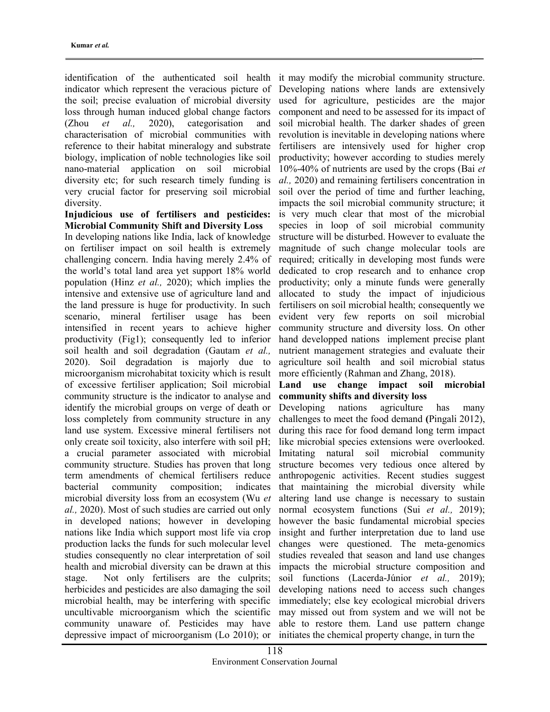identification of the authenticated soil health indicator which represent the veracious picture of the soil; precise evaluation of microbial diversity loss through human induced global change factors (Zhou et al., 2020), categorisation and characterisation of microbial communities with reference to their habitat mineralogy and substrate biology, implication of noble technologies like soil nano-material application on soil microbial diversity etc; for such research timely funding is very crucial factor for preserving soil microbial diversity.

## Injudicious use of fertilisers and pesticides: Microbial Community Shift and Diversity Loss

In developing nations like India, lack of knowledge on fertiliser impact on soil health is extremely challenging concern. India having merely 2.4% of the world's total land area yet support 18% world population (Hinz et al., 2020); which implies the intensive and extensive use of agriculture land and the land pressure is huge for productivity. In such scenario, mineral fertiliser usage has been intensified in recent years to achieve higher productivity (Fig1); consequently led to inferior soil health and soil degradation (Gautam et al., 2020). Soil degradation is majorly due to microorganism microhabitat toxicity which is result of excessive fertiliser application; Soil microbial community structure is the indicator to analyse and identify the microbial groups on verge of death or loss completely from community structure in any land use system. Excessive mineral fertilisers not only create soil toxicity, also interfere with soil pH; a crucial parameter associated with microbial community structure. Studies has proven that long term amendments of chemical fertilisers reduce bacterial community composition; indicates microbial diversity loss from an ecosystem (Wu et al., 2020). Most of such studies are carried out only in developed nations; however in developing nations like India which support most life via crop production lacks the funds for such molecular level studies consequently no clear interpretation of soil health and microbial diversity can be drawn at this stage. Not only fertilisers are the culprits; herbicides and pesticides are also damaging the soil microbial health, may be interfering with specific uncultivable microorganism which the scientific community unaware of. Pesticides may have depressive impact of microorganism (Lo 2010); or

it may modify the microbial community structure. Developing nations where lands are extensively used for agriculture, pesticides are the major component and need to be assessed for its impact of soil microbial health. The darker shades of green revolution is inevitable in developing nations where fertilisers are intensively used for higher crop productivity; however according to studies merely 10%-40% of nutrients are used by the crops (Bai et al., 2020) and remaining fertilisers concentration in soil over the period of time and further leaching, impacts the soil microbial community structure; it is very much clear that most of the microbial species in loop of soil microbial community structure will be disturbed. However to evaluate the magnitude of such change molecular tools are required; critically in developing most funds were dedicated to crop research and to enhance crop productivity; only a minute funds were generally allocated to study the impact of injudicious fertilisers on soil microbial health; consequently we evident very few reports on soil microbial community structure and diversity loss. On other hand developped nations implement precise plant nutrient management strategies and evaluate their agriculture soil health and soil microbial status more efficiently (Rahman and Zhang, 2018).

#### Land use change impact soil microbial community shifts and diversity loss

Developing nations agriculture has many challenges to meet the food demand (Pingali 2012), during this race for food demand long term impact like microbial species extensions were overlooked. Imitating natural soil microbial community structure becomes very tedious once altered by anthropogenic activities. Recent studies suggest that maintaining the microbial diversity while altering land use change is necessary to sustain normal ecosystem functions (Sui et al., 2019); however the basic fundamental microbial species insight and further interpretation due to land use changes were questioned. The meta-genomics studies revealed that season and land use changes impacts the microbial structure composition and soil functions (Lacerda-Júnior et al., 2019); developing nations need to access such changes immediately; else key ecological microbial drivers may missed out from system and we will not be able to restore them. Land use pattern change initiates the chemical property change, in turn the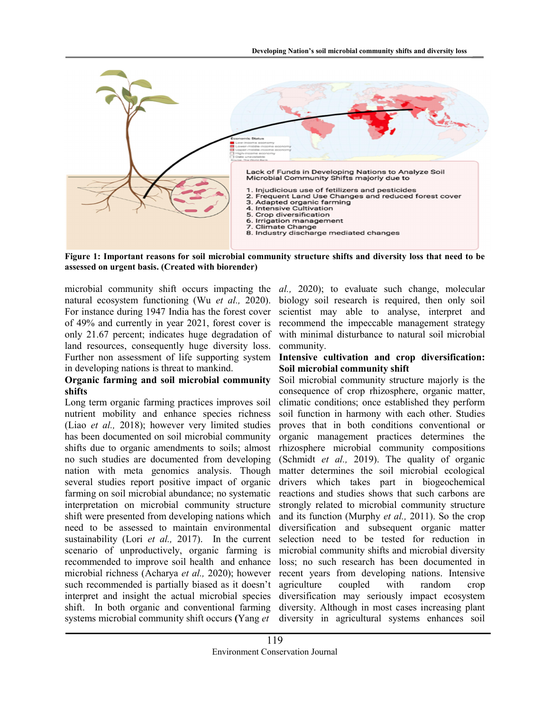

Figure 1: Important reasons for soil microbial community structure shifts and diversity loss that need to be assessed on urgent basis. (Created with biorender)

microbial community shift occurs impacting the natural ecosystem functioning (Wu et al., 2020). For instance during 1947 India has the forest cover of 49% and currently in year 2021, forest cover is only 21.67 percent; indicates huge degradation of land resources, consequently huge diversity loss. Further non assessment of life supporting system in developing nations is threat to mankind.

# Organic farming and soil microbial community shifts

Long term organic farming practices improves soil nutrient mobility and enhance species richness (Liao et al., 2018); however very limited studies has been documented on soil microbial community shifts due to organic amendments to soils; almost no such studies are documented from developing nation with meta genomics analysis. Though several studies report positive impact of organic farming on soil microbial abundance; no systematic interpretation on microbial community structure shift were presented from developing nations which need to be assessed to maintain environmental sustainability (Lori et al., 2017). In the current scenario of unproductively, organic farming is recommended to improve soil health and enhance microbial richness (Acharya et al., 2020); however such recommended is partially biased as it doesn't interpret and insight the actual microbial species shift. In both organic and conventional farming systems microbial community shift occurs (Yang et

al., 2020); to evaluate such change, molecular biology soil research is required, then only soil scientist may able to analyse, interpret and recommend the impeccable management strategy with minimal disturbance to natural soil microbial community.

## Intensive cultivation and crop diversification: Soil microbial community shift

Soil microbial community structure majorly is the consequence of crop rhizosphere, organic matter, climatic conditions; once established they perform soil function in harmony with each other. Studies proves that in both conditions conventional or organic management practices determines the rhizosphere microbial community compositions (Schmidt et al., 2019). The quality of organic matter determines the soil microbial ecological drivers which takes part in biogeochemical reactions and studies shows that such carbons are strongly related to microbial community structure and its function (Murphy et al., 2011). So the crop diversification and subsequent organic matter selection need to be tested for reduction in microbial community shifts and microbial diversity loss; no such research has been documented in recent years from developing nations. Intensive agriculture coupled with random crop diversification may seriously impact ecosystem diversity. Although in most cases increasing plant diversity in agricultural systems enhances soil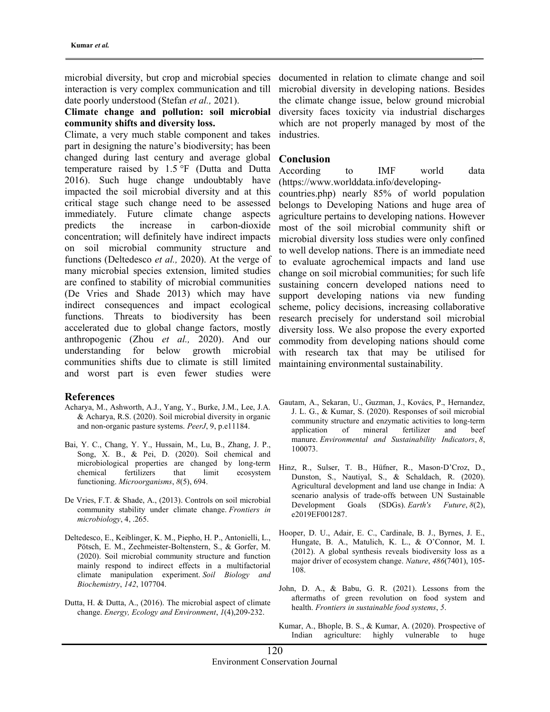microbial diversity, but crop and microbial species interaction is very complex communication and till date poorly understood (Stefan et al., 2021).

## Climate change and pollution: soil microbial community shifts and diversity loss.

Climate, a very much stable component and takes part in designing the nature's biodiversity; has been changed during last century and average global temperature raised by 1.5 °F (Dutta and Dutta 2016). Such huge change undoubtably have impacted the soil microbial diversity and at this critical stage such change need to be assessed immediately. Future climate change aspects predicts the increase in carbon-dioxide concentration; will definitely have indirect impacts on soil microbial community structure and functions (Deltedesco et al., 2020). At the verge of many microbial species extension, limited studies are confined to stability of microbial communities (De Vries and Shade 2013) which may have indirect consequences and impact ecological functions. Threats to biodiversity has been accelerated due to global change factors, mostly anthropogenic (Zhou et al., 2020). And our understanding for below growth microbial communities shifts due to climate is still limited and worst part is even fewer studies were

#### References

- Acharya, M., Ashworth, A.J., Yang, Y., Burke, J.M., Lee, J.A. & Acharya, R.S. (2020). Soil microbial diversity in organic and non-organic pasture systems. PeerJ, 9, p.e11184.
- Bai, Y. C., Chang, Y. Y., Hussain, M., Lu, B., Zhang, J. P., Song, X. B., & Pei, D. (2020). Soil chemical and microbiological properties are changed by long-term chemical fertilizers that limit ecosystem functioning. Microorganisms, 8(5), 694.
- De Vries, F.T. & Shade, A., (2013). Controls on soil microbial community stability under climate change. Frontiers in microbiology, 4, .265.
- Deltedesco, E., Keiblinger, K. M., Piepho, H. P., Antonielli, L., Pötsch, E. M., Zechmeister-Boltenstern, S., & Gorfer, M. (2020). Soil microbial community structure and function mainly respond to indirect effects in a multifactorial climate manipulation experiment. Soil Biology and Biochemistry, 142, 107704.
- Dutta, H. & Dutta, A., (2016). The microbial aspect of climate change. Energy, Ecology and Environment, 1(4),209-232.

documented in relation to climate change and soil microbial diversity in developing nations. Besides the climate change issue, below ground microbial diversity faces toxicity via industrial discharges which are not properly managed by most of the industries.

#### Conclusion

According to IMF world data (https://www.worlddata.info/developing-

countries.php) nearly 85% of world population belongs to Developing Nations and huge area of agriculture pertains to developing nations. However most of the soil microbial community shift or microbial diversity loss studies were only confined to well develop nations. There is an immediate need to evaluate agrochemical impacts and land use change on soil microbial communities; for such life sustaining concern developed nations need to support developing nations via new funding scheme, policy decisions, increasing collaborative research precisely for understand soil microbial diversity loss. We also propose the every exported commodity from developing nations should come with research tax that may be utilised for maintaining environmental sustainability.

- Gautam, A., Sekaran, U., Guzman, J., Kovács, P., Hernandez, J. L. G., & Kumar, S. (2020). Responses of soil microbial community structure and enzymatic activities to long-term application of mineral fertilizer and beef manure. Environmental and Sustainability Indicators, 8, 100073.
- Hinz, R., Sulser, T. B., Hüfner, R., Mason‐D'Croz, D., Dunston, S., Nautiyal, S., & Schaldach, R. (2020). Agricultural development and land use change in India: A scenario analysis of trade‐offs between UN Sustainable Development Goals (SDGs). Earth's Future, 8(2), e2019EF001287.
- Hooper, D. U., Adair, E. C., Cardinale, B. J., Byrnes, J. E., Hungate, B. A., Matulich, K. L., & O'Connor, M. I. (2012). A global synthesis reveals biodiversity loss as a major driver of ecosystem change. Nature, 486(7401), 105- 108.
- John, D. A., & Babu, G. R. (2021). Lessons from the aftermaths of green revolution on food system and health. Frontiers in sustainable food systems, 5.
- Kumar, A., Bhople, B. S., & Kumar, A. (2020). Prospective of Indian agriculture: highly vulnerable to huge